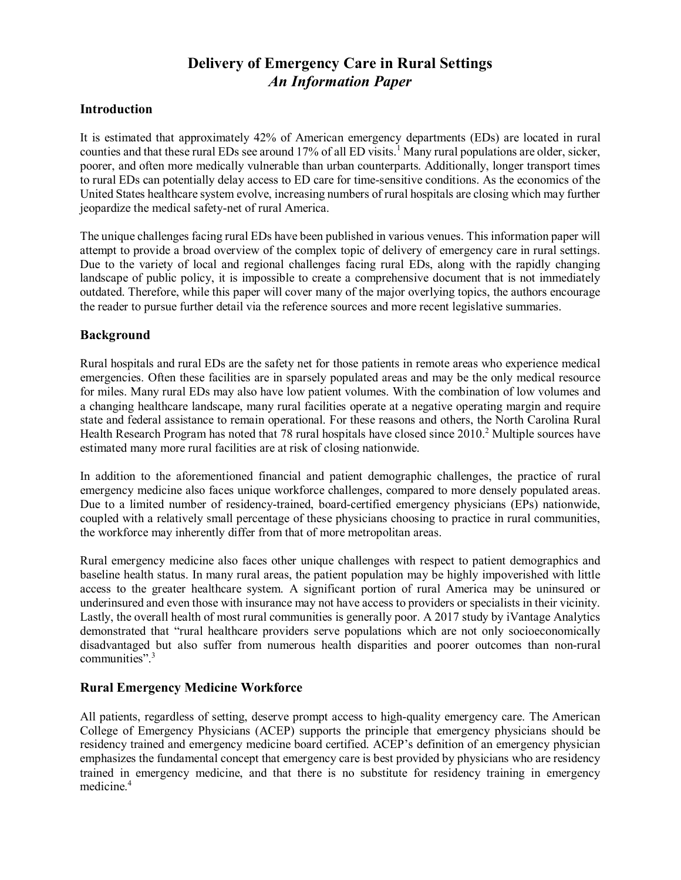# **Delivery of Emergency Care in Rural Settings** *An Information Paper*

# **Introduction**

It is estimated that approximately 42% of American emergency departments (EDs) are located in rural counties and that these rural EDs see around 17% of all ED visits.<sup>1</sup> Many rural populations are older, sicker, poorer, and often more medically vulnerable than urban counterparts. Additionally, longer transport times to rural EDs can potentially delay access to ED care for time-sensitive conditions. As the economics of the United States healthcare system evolve, increasing numbers of rural hospitals are closing which may further jeopardize the medical safety-net of rural America.

The unique challenges facing rural EDs have been published in various venues. This information paper will attempt to provide a broad overview of the complex topic of delivery of emergency care in rural settings. Due to the variety of local and regional challenges facing rural EDs, along with the rapidly changing landscape of public policy, it is impossible to create a comprehensive document that is not immediately outdated. Therefore, while this paper will cover many of the major overlying topics, the authors encourage the reader to pursue further detail via the reference sources and more recent legislative summaries.

## **Background**

Rural hospitals and rural EDs are the safety net for those patients in remote areas who experience medical emergencies. Often these facilities are in sparsely populated areas and may be the only medical resource for miles. Many rural EDs may also have low patient volumes. With the combination of low volumes and a changing healthcare landscape, many rural facilities operate at a negative operating margin and require state and federal assistance to remain operational. For these reasons and others, the North Carolina Rural Health Research Program has noted that 78 rural hospitals have closed since 2010.<sup>2</sup> Multiple sources have estimated many more rural facilities are at risk of closing nationwide.

In addition to the aforementioned financial and patient demographic challenges, the practice of rural emergency medicine also faces unique workforce challenges, compared to more densely populated areas. Due to a limited number of residency-trained, board-certified emergency physicians (EPs) nationwide, coupled with a relatively small percentage of these physicians choosing to practice in rural communities, the workforce may inherently differ from that of more metropolitan areas.

Rural emergency medicine also faces other unique challenges with respect to patient demographics and baseline health status. In many rural areas, the patient population may be highly impoverished with little access to the greater healthcare system. A significant portion of rural America may be uninsured or underinsured and even those with insurance may not have access to providers or specialists in their vicinity. Lastly, the overall health of most rural communities is generally poor. A 2017 study by iVantage Analytics demonstrated that "rural healthcare providers serve populations which are not only socioeconomically disadvantaged but also suffer from numerous health disparities and poorer outcomes than non-rural communities".<sup>3</sup>

# **Rural Emergency Medicine Workforce**

All patients, regardless of setting, deserve prompt access to high-quality emergency care. The American College of Emergency Physicians (ACEP) supports the principle that emergency physicians should be residency trained and emergency medicine board certified. ACEP's definition of an emergency physician emphasizes the fundamental concept that emergency care is best provided by physicians who are residency trained in emergency medicine, and that there is no substitute for residency training in emergency medicine.<sup>4</sup>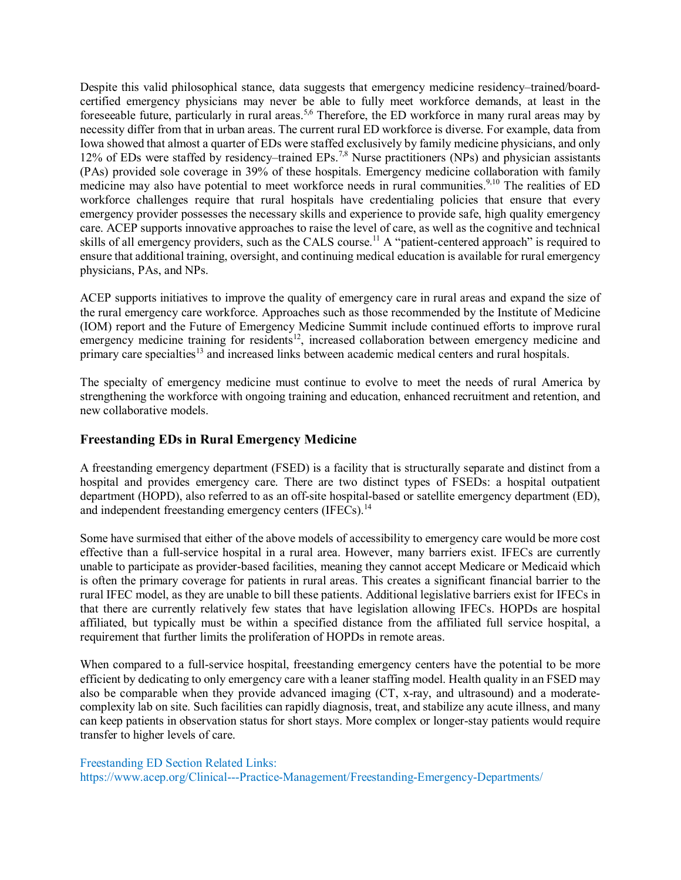Despite this valid philosophical stance, data suggests that emergency medicine residency–trained/boardcertified emergency physicians may never be able to fully meet workforce demands, at least in the foreseeable future, particularly in rural areas.<sup>5,6</sup> Therefore, the ED workforce in many rural areas may by necessity differ from that in urban areas. The current rural ED workforce is diverse. For example, data from Iowa showed that almost a quarter of EDs were staffed exclusively by family medicine physicians, and only 12% of EDs were staffed by residency–trained EPs.7,8 Nurse practitioners (NPs) and physician assistants (PAs) provided sole coverage in 39% of these hospitals. Emergency medicine collaboration with family medicine may also have potential to meet workforce needs in rural communities.<sup>9,10</sup> The realities of ED workforce challenges require that rural hospitals have credentialing policies that ensure that every emergency provider possesses the necessary skills and experience to provide safe, high quality emergency care. ACEP supports innovative approaches to raise the level of care, as well as the cognitive and technical skills of all emergency providers, such as the CALS course.<sup>11</sup> A "patient-centered approach" is required to ensure that additional training, oversight, and continuing medical education is available for rural emergency physicians, PAs, and NPs.

ACEP supports initiatives to improve the quality of emergency care in rural areas and expand the size of the rural emergency care workforce. Approaches such as those recommended by the Institute of Medicine (IOM) report and the Future of Emergency Medicine Summit include continued efforts to improve rural emergency medicine training for residents<sup>12</sup>, increased collaboration between emergency medicine and primary care specialties<sup>13</sup> and increased links between academic medical centers and rural hospitals.

The specialty of emergency medicine must continue to evolve to meet the needs of rural America by strengthening the workforce with ongoing training and education, enhanced recruitment and retention, and new collaborative models.

# **Freestanding EDs in Rural Emergency Medicine**

A freestanding emergency department (FSED) is a facility that is structurally separate and distinct from a hospital and provides emergency care. There are two distinct types of FSEDs: a hospital outpatient department (HOPD), also referred to as an off-site hospital-based or satellite emergency department (ED), and independent freestanding emergency centers (IFECs).<sup>14</sup>

Some have surmised that either of the above models of accessibility to emergency care would be more cost effective than a full-service hospital in a rural area. However, many barriers exist. IFECs are currently unable to participate as provider-based facilities, meaning they cannot accept Medicare or Medicaid which is often the primary coverage for patients in rural areas. This creates a significant financial barrier to the rural IFEC model, as they are unable to bill these patients. Additional legislative barriers exist for IFECs in that there are currently relatively few states that have legislation allowing IFECs. HOPDs are hospital affiliated, but typically must be within a specified distance from the affiliated full service hospital, a requirement that further limits the proliferation of HOPDs in remote areas.

When compared to a full-service hospital, freestanding emergency centers have the potential to be more efficient by dedicating to only emergency care with a leaner staffing model. Health quality in an FSED may also be comparable when they provide advanced imaging (CT, x-ray, and ultrasound) and a moderatecomplexity lab on site. Such facilities can rapidly diagnosis, treat, and stabilize any acute illness, and many can keep patients in observation status for short stays. More complex or longer-stay patients would require transfer to higher levels of care.

Freestanding ED Section Related Links: https://www.acep.org/Clinical---Practice-Management/Freestanding-Emergency-Departments/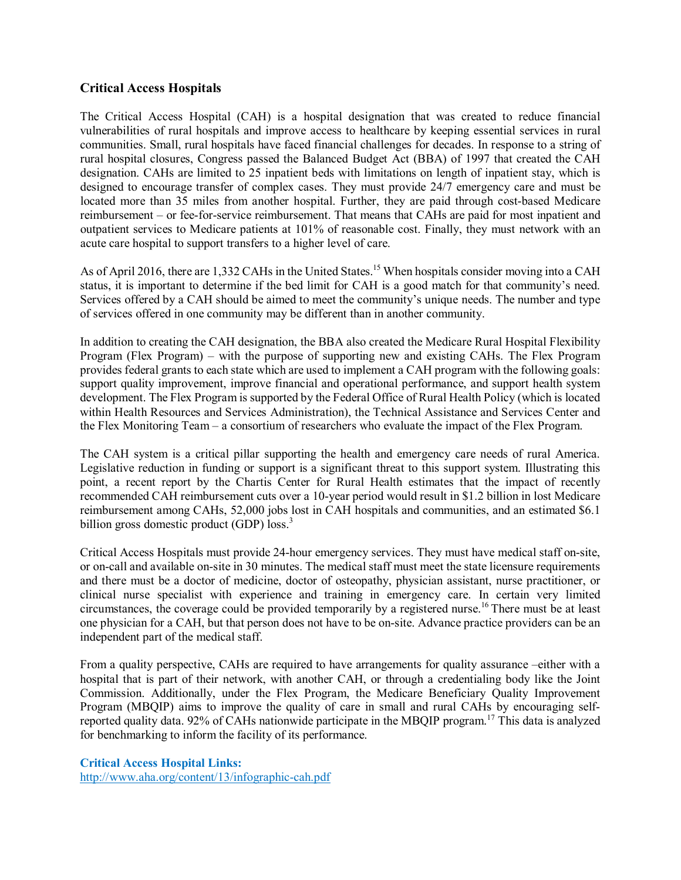# **Critical Access Hospitals**

The Critical Access Hospital (CAH) is a hospital designation that was created to reduce financial vulnerabilities of rural hospitals and improve access to healthcare by keeping essential services in rural communities. Small, rural hospitals have faced financial challenges for decades. In response to a string of rural hospital closures, Congress passed the Balanced Budget Act (BBA) of 1997 that created the CAH designation. CAHs are limited to 25 inpatient beds with limitations on length of inpatient stay, which is designed to encourage transfer of complex cases. They must provide 24/7 emergency care and must be located more than 35 miles from another hospital. Further, they are paid through cost-based Medicare reimbursement – or fee-for-service reimbursement. That means that CAHs are paid for most inpatient and outpatient services to Medicare patients at 101% of reasonable cost. Finally, they must network with an acute care hospital to support transfers to a higher level of care.

As of April 2016, there are 1,332 CAHs in the United States.<sup>15</sup> When hospitals consider moving into a CAH status, it is important to determine if the bed limit for CAH is a good match for that community's need. Services offered by a CAH should be aimed to meet the community's unique needs. The number and type of services offered in one community may be different than in another community.

In addition to creating the CAH designation, the BBA also created the Medicare Rural Hospital Flexibility Program (Flex Program) – with the purpose of supporting new and existing CAHs. The Flex Program provides federal grants to each state which are used to implement a CAH program with the following goals: support quality improvement, improve financial and operational performance, and support health system development. The Flex Program is supported by the Federal Office of Rural Health Policy (which is located within Health Resources and Services Administration), the Technical Assistance and Services Center and the Flex Monitoring Team – a consortium of researchers who evaluate the impact of the Flex Program.

The CAH system is a critical pillar supporting the health and emergency care needs of rural America. Legislative reduction in funding or support is a significant threat to this support system. Illustrating this point, a recent report by the Chartis Center for Rural Health estimates that the impact of recently recommended CAH reimbursement cuts over a 10-year period would result in \$1.2 billion in lost Medicare reimbursement among CAHs, 52,000 jobs lost in CAH hospitals and communities, and an estimated \$6.1 billion gross domestic product (GDP) loss.<sup>3</sup>

Critical Access Hospitals must provide 24-hour emergency services. They must have medical staff on-site, or on-call and available on-site in 30 minutes. The medical staff must meet the state licensure requirements and there must be a doctor of medicine, doctor of osteopathy, physician assistant, nurse practitioner, or clinical nurse specialist with experience and training in emergency care. In certain very limited circumstances, the coverage could be provided temporarily by a registered nurse.<sup>16</sup> There must be at least one physician for a CAH, but that person does not have to be on-site. Advance practice providers can be an independent part of the medical staff.

From a quality perspective, CAHs are required to have arrangements for quality assurance –either with a hospital that is part of their network, with another CAH, or through a credentialing body like the Joint Commission. Additionally, under the Flex Program, the Medicare Beneficiary Quality Improvement Program (MBQIP) aims to improve the quality of care in small and rural CAHs by encouraging selfreported quality data. 92% of CAHs nationwide participate in the MBQIP program.<sup>17</sup> This data is analyzed for benchmarking to inform the facility of its performance.

**Critical Access Hospital Links:**

<http://www.aha.org/content/13/infographic-cah.pdf>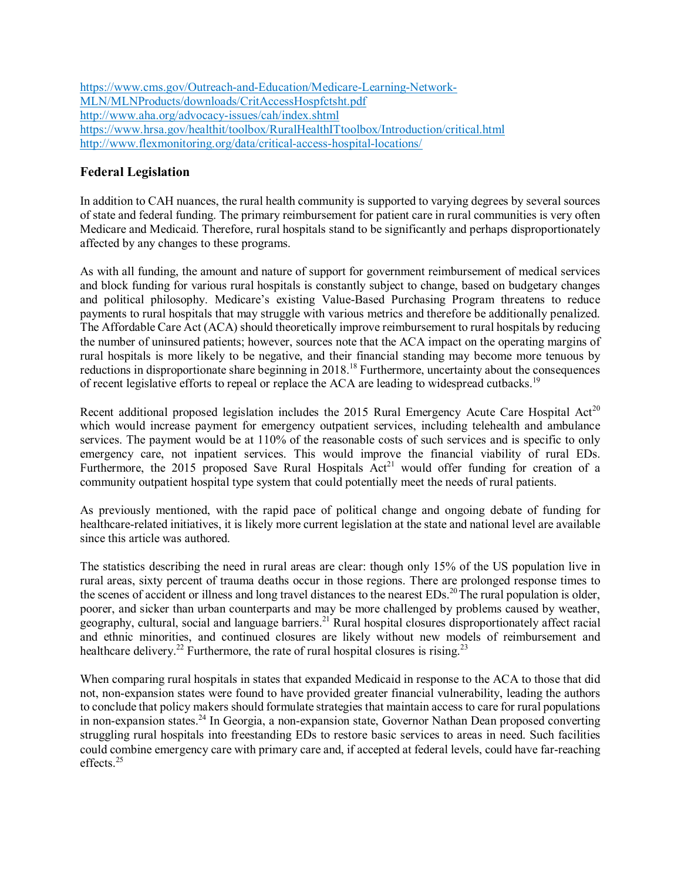[https://www.cms.gov/Outreach-and-Education/Medicare-Learning-Network-](https://www.cms.gov/Outreach-and-Education/Medicare-Learning-Network-MLN/MLNProducts/downloads/CritAccessHospfctsht.pdf)[MLN/MLNProducts/downloads/CritAccessHospfctsht.pdf](https://www.cms.gov/Outreach-and-Education/Medicare-Learning-Network-MLN/MLNProducts/downloads/CritAccessHospfctsht.pdf) <http://www.aha.org/advocacy-issues/cah/index.shtml> <https://www.hrsa.gov/healthit/toolbox/RuralHealthITtoolbox/Introduction/critical.html> <http://www.flexmonitoring.org/data/critical-access-hospital-locations/>

# **Federal Legislation**

In addition to CAH nuances, the rural health community is supported to varying degrees by several sources of state and federal funding. The primary reimbursement for patient care in rural communities is very often Medicare and Medicaid. Therefore, rural hospitals stand to be significantly and perhaps disproportionately affected by any changes to these programs.

As with all funding, the amount and nature of support for government reimbursement of medical services and block funding for various rural hospitals is constantly subject to change, based on budgetary changes and political philosophy. Medicare's existing Value-Based Purchasing Program threatens to reduce payments to rural hospitals that may struggle with various metrics and therefore be additionally penalized. The Affordable Care Act (ACA) should theoretically improve reimbursement to rural hospitals by reducing the number of uninsured patients; however, sources note that the ACA impact on the operating margins of rural hospitals is more likely to be negative, and their financial standing may become more tenuous by reductions in disproportionate share beginning in 2018.<sup>18</sup> Furthermore, uncertainty about the consequences of recent legislative efforts to repeal or replace the ACA are leading to widespread cutbacks.<sup>19</sup>

Recent additional proposed legislation includes the 2015 Rural Emergency Acute Care Hospital Act<sup>20</sup> which would increase payment for emergency outpatient services, including telehealth and ambulance services. The payment would be at 110% of the reasonable costs of such services and is specific to only emergency care, not inpatient services. This would improve the financial viability of rural EDs. Furthermore, the 2015 proposed Save Rural Hospitals  $Act^{21}$  would offer funding for creation of a community outpatient hospital type system that could potentially meet the needs of rural patients.

As previously mentioned, with the rapid pace of political change and ongoing debate of funding for healthcare-related initiatives, it is likely more current legislation at the state and national level are available since this article was authored.

The statistics describing the need in rural areas are clear: though only 15% of the US population live in rural areas, sixty percent of trauma deaths occur in those regions. There are prolonged response times to the scenes of accident or illness and long travel distances to the nearest EDs.<sup>20</sup>The rural population is older, poorer, and sicker than urban counterparts and may be more challenged by problems caused by weather, geography, cultural, social and language barriers.<sup>21</sup> Rural hospital closures disproportionately affect racial and ethnic minorities, and continued closures are likely without new models of reimbursement and healthcare delivery.<sup>22</sup> Furthermore, the rate of rural hospital closures is rising.<sup>23</sup>

When comparing rural hospitals in states that expanded Medicaid in response to the ACA to those that did not, non-expansion states were found to have provided greater financial vulnerability, leading the authors to conclude that policy makers should formulate strategies that maintain access to care for rural populations in non-expansion states.<sup>24</sup> In Georgia, a non-expansion state, Governor Nathan Dean proposed converting struggling rural hospitals into freestanding EDs to restore basic services to areas in need. Such facilities could combine emergency care with primary care and, if accepted at federal levels, could have far-reaching effects.<sup>25</sup>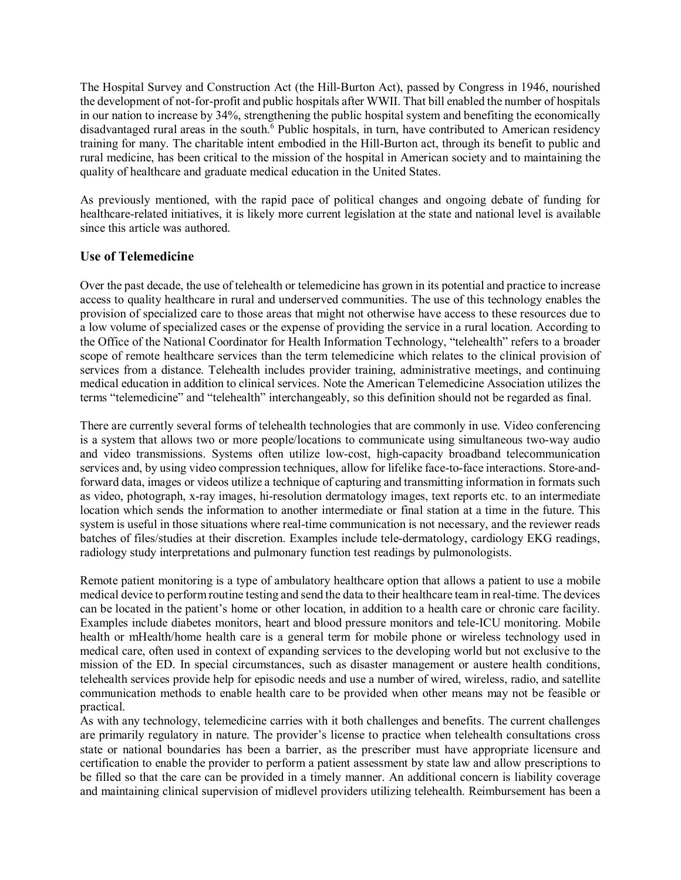The Hospital Survey and Construction Act (the Hill-Burton Act), passed by Congress in 1946, nourished the development of not-for-profit and public hospitals after WWII. That bill enabled the number of hospitals in our nation to increase by 34%, strengthening the public hospital system and benefiting the economically disadvantaged rural areas in the south.<sup>6</sup> Public hospitals, in turn, have contributed to American residency training for many. The charitable intent embodied in the Hill-Burton act, through its benefit to public and rural medicine, has been critical to the mission of the hospital in American society and to maintaining the quality of healthcare and graduate medical education in the United States.

As previously mentioned, with the rapid pace of political changes and ongoing debate of funding for healthcare-related initiatives, it is likely more current legislation at the state and national level is available since this article was authored.

# **Use of Telemedicine**

Over the past decade, the use of telehealth or telemedicine has grown in its potential and practice to increase access to quality healthcare in rural and underserved communities. The use of this technology enables the provision of specialized care to those areas that might not otherwise have access to these resources due to a low volume of specialized cases or the expense of providing the service in a rural location. According to the Office of the National Coordinator for Health Information Technology, "telehealth" refers to a broader scope of remote healthcare services than the term telemedicine which relates to the clinical provision of services from a distance. Telehealth includes provider training, administrative meetings, and continuing medical education in addition to clinical services. Note the American Telemedicine Association utilizes the terms "telemedicine" and "telehealth" interchangeably, so this definition should not be regarded as final.

There are currently several forms of telehealth technologies that are commonly in use. Video conferencing is a system that allows two or more people/locations to communicate using simultaneous two-way audio and video transmissions. Systems often utilize low-cost, high-capacity broadband telecommunication services and, by using video compression techniques, allow for lifelike face-to-face interactions. Store-andforward data, images or videos utilize a technique of capturing and transmitting information in formats such as video, photograph, x-ray images, hi-resolution dermatology images, text reports etc. to an intermediate location which sends the information to another intermediate or final station at a time in the future. This system is useful in those situations where real-time communication is not necessary, and the reviewer reads batches of files/studies at their discretion. Examples include tele-dermatology, cardiology EKG readings, radiology study interpretations and pulmonary function test readings by pulmonologists.

Remote patient monitoring is a type of ambulatory healthcare option that allows a patient to use a mobile medical device to perform routine testing and send the data to their healthcare team in real-time. The devices can be located in the patient's home or other location, in addition to a health care or chronic care facility. Examples include diabetes monitors, heart and blood pressure monitors and tele-ICU monitoring. Mobile health or mHealth/home health care is a general term for mobile phone or wireless technology used in medical care, often used in context of expanding services to the developing world but not exclusive to the mission of the ED. In special circumstances, such as disaster management or austere health conditions, telehealth services provide help for episodic needs and use a number of wired, wireless, radio, and satellite communication methods to enable health care to be provided when other means may not be feasible or practical.

As with any technology, telemedicine carries with it both challenges and benefits. The current challenges are primarily regulatory in nature. The provider's license to practice when telehealth consultations cross state or national boundaries has been a barrier, as the prescriber must have appropriate licensure and certification to enable the provider to perform a patient assessment by state law and allow prescriptions to be filled so that the care can be provided in a timely manner. An additional concern is liability coverage and maintaining clinical supervision of midlevel providers utilizing telehealth. Reimbursement has been a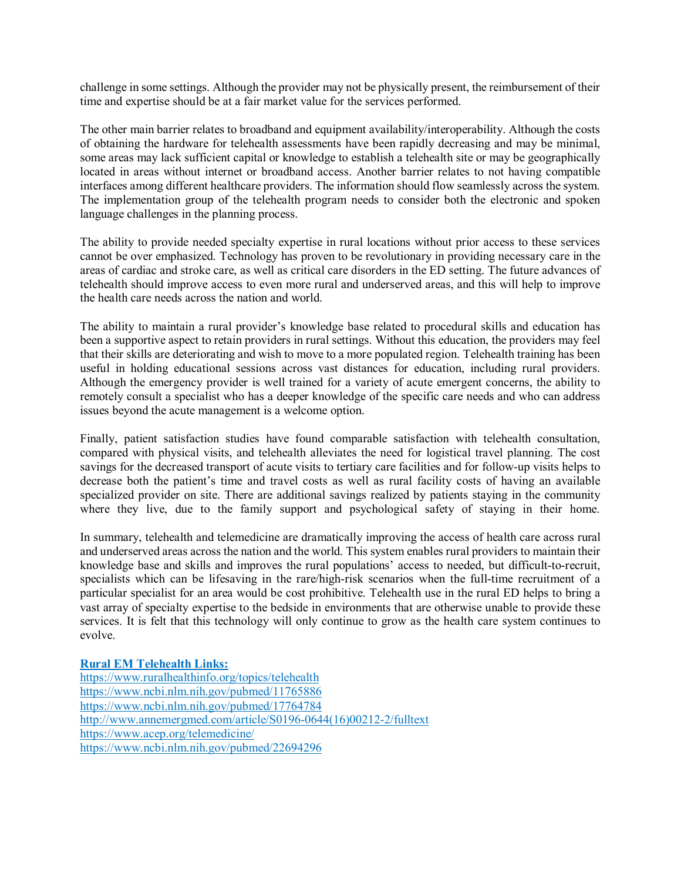challenge in some settings. Although the provider may not be physically present, the reimbursement of their time and expertise should be at a fair market value for the services performed.

The other main barrier relates to broadband and equipment availability/interoperability. Although the costs of obtaining the hardware for telehealth assessments have been rapidly decreasing and may be minimal, some areas may lack sufficient capital or knowledge to establish a telehealth site or may be geographically located in areas without internet or broadband access. Another barrier relates to not having compatible interfaces among different healthcare providers. The information should flow seamlessly across the system. The implementation group of the telehealth program needs to consider both the electronic and spoken language challenges in the planning process.

The ability to provide needed specialty expertise in rural locations without prior access to these services cannot be over emphasized. Technology has proven to be revolutionary in providing necessary care in the areas of cardiac and stroke care, as well as critical care disorders in the ED setting. The future advances of telehealth should improve access to even more rural and underserved areas, and this will help to improve the health care needs across the nation and world.

The ability to maintain a rural provider's knowledge base related to procedural skills and education has been a supportive aspect to retain providers in rural settings. Without this education, the providers may feel that their skills are deteriorating and wish to move to a more populated region. Telehealth training has been useful in holding educational sessions across vast distances for education, including rural providers. Although the emergency provider is well trained for a variety of acute emergent concerns, the ability to remotely consult a specialist who has a deeper knowledge of the specific care needs and who can address issues beyond the acute management is a welcome option.

Finally, patient satisfaction studies have found comparable satisfaction with telehealth consultation, compared with physical visits, and telehealth alleviates the need for logistical travel planning. The cost savings for the decreased transport of acute visits to tertiary care facilities and for follow-up visits helps to decrease both the patient's time and travel costs as well as rural facility costs of having an available specialized provider on site. There are additional savings realized by patients staying in the community where they live, due to the family support and psychological safety of staying in their home.

In summary, telehealth and telemedicine are dramatically improving the access of health care across rural and underserved areas across the nation and the world. This system enables rural providers to maintain their knowledge base and skills and improves the rural populations' access to needed, but difficult-to-recruit, specialists which can be lifesaving in the rare/high-risk scenarios when the full-time recruitment of a particular specialist for an area would be cost prohibitive. Telehealth use in the rural ED helps to bring a vast array of specialty expertise to the bedside in environments that are otherwise unable to provide these services. It is felt that this technology will only continue to grow as the health care system continues to evolve.

#### **Rural EM Telehealth Links:**

<https://www.ruralhealthinfo.org/topics/telehealth> <https://www.ncbi.nlm.nih.gov/pubmed/11765886> <https://www.ncbi.nlm.nih.gov/pubmed/17764784> [http://www.annemergmed.com/article/S0196-0644\(16\)00212-2/fulltext](http://www.annemergmed.com/article/S0196-0644(16)00212-2/fulltext) <https://www.acep.org/telemedicine/> <https://www.ncbi.nlm.nih.gov/pubmed/22694296>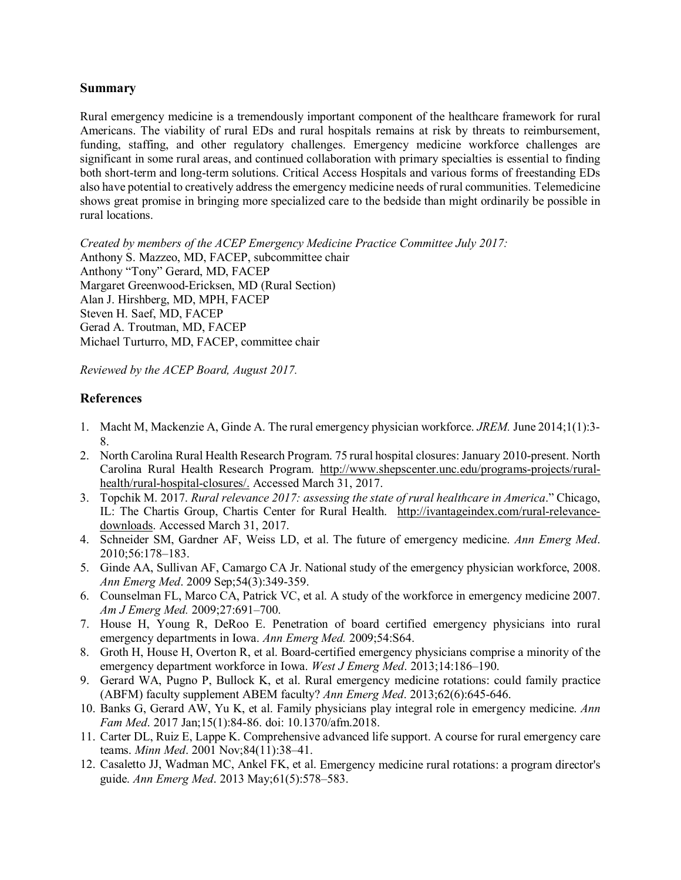### **Summary**

Rural emergency medicine is a tremendously important component of the healthcare framework for rural Americans. The viability of rural EDs and rural hospitals remains at risk by threats to reimbursement, funding, staffing, and other regulatory challenges. Emergency medicine workforce challenges are significant in some rural areas, and continued collaboration with primary specialties is essential to finding both short-term and long-term solutions. Critical Access Hospitals and various forms of freestanding EDs also have potential to creatively address the emergency medicine needs of rural communities. Telemedicine shows great promise in bringing more specialized care to the bedside than might ordinarily be possible in rural locations.

*Created by members of the ACEP Emergency Medicine Practice Committee July 2017:* Anthony S. Mazzeo, MD, FACEP, subcommittee chair Anthony "Tony" Gerard, MD, FACEP Margaret Greenwood-Ericksen, MD (Rural Section) Alan J. Hirshberg, MD, MPH, FACEP Steven H. Saef, MD, FACEP Gerad A. Troutman, MD, FACEP Michael Turturro, MD, FACEP, committee chair

*Reviewed by the ACEP Board, August 2017.*

# **References**

- 1. Macht M, Mackenzie A, Ginde A. The rural emergency physician workforce. *JREM.* June 2014;1(1):3- 8.
- 2. North Carolina Rural Health Research Program. 75 rural hospital closures: January 2010-present. North Carolina Rural Health Research Program. [http://www.shepscenter.unc.edu/programs-projects/rural](http://www.shepscenter.unc.edu/programs-projects/rural-health/rural-hospital-closures/)[health/rural-hospital-closures/.](http://www.shepscenter.unc.edu/programs-projects/rural-health/rural-hospital-closures/) Accessed March 31, 2017.
- 3. Topchik M. 2017. *Rural relevance 2017: assessing the state of rural healthcare in America*." Chicago, IL: The Chartis Group, Chartis Center for Rural Health. [http://ivantageindex.com/rural-relevance](http://ivantageindex.com/rural-relevance-downloads)[downloads.](http://ivantageindex.com/rural-relevance-downloads) Accessed March 31, 2017.
- 4. Schneider SM, Gardner AF, Weiss LD, et al. The future of emergency medicine. *Ann Emerg Med*. 2010;56:178–183.
- 5. Ginde AA, Sullivan AF, Camargo CA Jr. National study of the emergency physician workforce, 2008. *Ann Emerg Med*. 2009 Sep;54(3):349-359.
- 6. Counselman FL, Marco CA, Patrick VC, et al. A study of the workforce in emergency medicine 2007. *Am J Emerg Med.* 2009;27:691–700.
- 7. House H, Young R, DeRoo E. Penetration of board certified emergency physicians into rural emergency departments in Iowa. *Ann Emerg Med.* 2009;54:S64.
- 8. Groth H, House H, Overton R, et al. Board-certified emergency physicians comprise a minority of the emergency department workforce in Iowa. *West J Emerg Med*. 2013;14:186–190.
- 9. Gerard WA, Pugno P, Bullock K, et al. Rural emergency medicine rotations: could family practice (ABFM) faculty supplement ABEM faculty? *Ann Emerg Med*. 2013;62(6):645-646.
- 10. Banks G, Gerard AW, Yu K, et al. Family physicians play integral role in emergency medicine. *Ann Fam Med*. 2017 Jan;15(1):84-86. doi: 10.1370/afm.2018.
- 11. Carter DL, Ruiz E, Lappe K. Comprehensive advanced life support. A course for rural emergency care teams. *Minn Med*. 2001 Nov;84(11):38–41.
- 12. Casaletto JJ, Wadman MC, Ankel FK, et al. Emergency medicine rural rotations: a program director's guide. *Ann Emerg Med*. 2013 May;61(5):578–583.